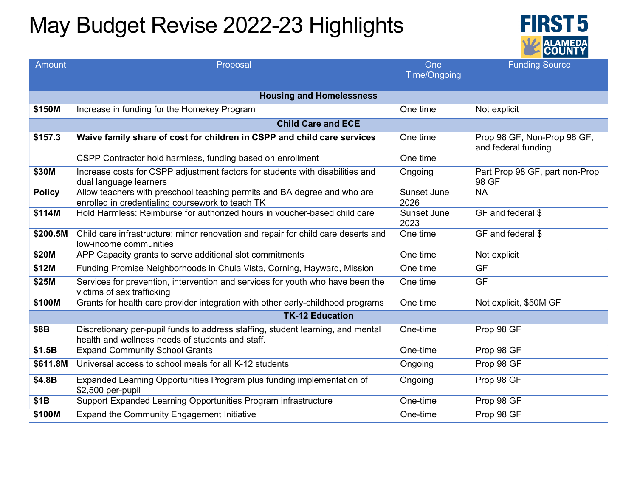## May Budget Revise 2022-23 Highlights



| <b>Amount</b>                   | Proposal                                                                                                                            | One<br><b>Time/Ongoing</b> | <b>Funding Source</b>                              |  |  |
|---------------------------------|-------------------------------------------------------------------------------------------------------------------------------------|----------------------------|----------------------------------------------------|--|--|
|                                 |                                                                                                                                     |                            |                                                    |  |  |
| <b>Housing and Homelessness</b> |                                                                                                                                     |                            |                                                    |  |  |
| \$150M                          | Increase in funding for the Homekey Program                                                                                         | One time                   | Not explicit                                       |  |  |
| <b>Child Care and ECE</b>       |                                                                                                                                     |                            |                                                    |  |  |
| \$157.3                         | Waive family share of cost for children in CSPP and child care services                                                             | One time                   | Prop 98 GF, Non-Prop 98 GF,<br>and federal funding |  |  |
|                                 | CSPP Contractor hold harmless, funding based on enrollment                                                                          | One time                   |                                                    |  |  |
| \$30M                           | Increase costs for CSPP adjustment factors for students with disabilities and<br>dual language learners                             | Ongoing                    | Part Prop 98 GF, part non-Prop<br>98 GF            |  |  |
| <b>Policy</b>                   | Allow teachers with preschool teaching permits and BA degree and who are<br>enrolled in credentialing coursework to teach TK        | Sunset June<br>2026        | <b>NA</b>                                          |  |  |
| \$114M                          | Hold Harmless: Reimburse for authorized hours in youcher-based child care                                                           | Sunset June<br>2023        | GF and federal \$                                  |  |  |
| \$200.5M                        | Child care infrastructure: minor renovation and repair for child care deserts and<br>low-income communities                         | One time                   | GF and federal \$                                  |  |  |
| \$20M                           | APP Capacity grants to serve additional slot commitments                                                                            | One time                   | Not explicit                                       |  |  |
| \$12M                           | Funding Promise Neighborhoods in Chula Vista, Corning, Hayward, Mission                                                             | One time                   | <b>GF</b>                                          |  |  |
| \$25M                           | Services for prevention, intervention and services for youth who have been the<br>victims of sex trafficking                        | One time                   | <b>GF</b>                                          |  |  |
| \$100M                          | Grants for health care provider integration with other early-childhood programs                                                     | One time                   | Not explicit, \$50M GF                             |  |  |
|                                 | <b>TK-12 Education</b>                                                                                                              |                            |                                                    |  |  |
| \$8B                            | Discretionary per-pupil funds to address staffing, student learning, and mental<br>health and wellness needs of students and staff. | One-time                   | Prop 98 GF                                         |  |  |
| \$1.5B                          | <b>Expand Community School Grants</b>                                                                                               | One-time                   | Prop 98 GF                                         |  |  |
| \$611.8M                        | Universal access to school meals for all K-12 students                                                                              | Ongoing                    | Prop 98 GF                                         |  |  |
| \$4.8B                          | Expanded Learning Opportunities Program plus funding implementation of<br>\$2,500 per-pupil                                         | Ongoing                    | Prop 98 GF                                         |  |  |
| \$1B                            | Support Expanded Learning Opportunities Program infrastructure                                                                      | One-time                   | Prop 98 GF                                         |  |  |
| \$100M                          | <b>Expand the Community Engagement Initiative</b>                                                                                   | One-time                   | Prop 98 GF                                         |  |  |